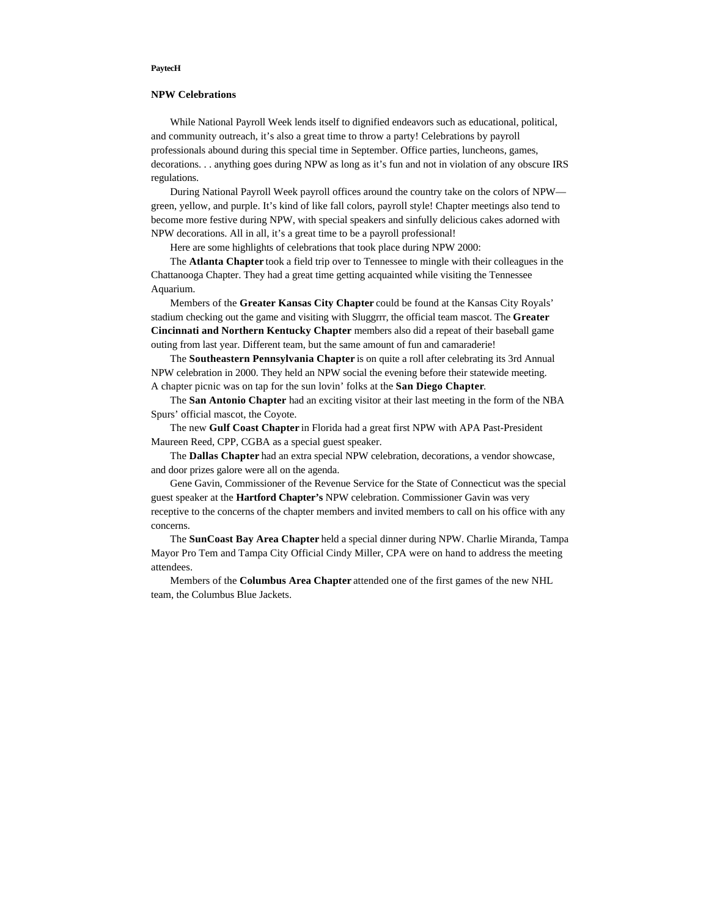## **PaytecH**

## **NPW Celebrations**

While National Payroll Week lends itself to dignified endeavors such as educational, political, and community outreach, it's also a great time to throw a party! Celebrations by payroll professionals abound during this special time in September. Office parties, luncheons, games, decorations. . . anything goes during NPW as long as it's fun and not in violation of any obscure IRS regulations.

During National Payroll Week payroll offices around the country take on the colors of NPW green, yellow, and purple. It's kind of like fall colors, payroll style! Chapter meetings also tend to become more festive during NPW, with special speakers and sinfully delicious cakes adorned with NPW decorations. All in all, it's a great time to be a payroll professional!

Here are some highlights of celebrations that took place during NPW 2000:

The **Atlanta Chapter** took a field trip over to Tennessee to mingle with their colleagues in the Chattanooga Chapter. They had a great time getting acquainted while visiting the Tennessee Aquarium.

Members of the **Greater Kansas City Chapter** could be found at the Kansas City Royals' stadium checking out the game and visiting with Sluggrrr, the official team mascot. The **Greater Cincinnati and Northern Kentucky Chapter** members also did a repeat of their baseball game outing from last year. Different team, but the same amount of fun and camaraderie!

The **Southeastern Pennsylvania Chapter** is on quite a roll after celebrating its 3rd Annual NPW celebration in 2000. They held an NPW social the evening before their statewide meeting. A chapter picnic was on tap for the sun lovin' folks at the **San Diego Chapter**.

The **San Antonio Chapter** had an exciting visitor at their last meeting in the form of the NBA Spurs' official mascot, the Coyote.

The new **Gulf Coast Chapter** in Florida had a great first NPW with APA Past-President Maureen Reed, CPP, CGBA as a special guest speaker.

The **Dallas Chapter** had an extra special NPW celebration, decorations, a vendor showcase, and door prizes galore were all on the agenda.

Gene Gavin, Commissioner of the Revenue Service for the State of Connecticut was the special guest speaker at the **Hartford Chapter's** NPW celebration. Commissioner Gavin was very receptive to the concerns of the chapter members and invited members to call on his office with any concerns.

The **SunCoast Bay Area Chapter** held a special dinner during NPW. Charlie Miranda, Tampa Mayor Pro Tem and Tampa City Official Cindy Miller, CPA were on hand to address the meeting attendees.

Members of the **Columbus Area Chapter** attended one of the first games of the new NHL team, the Columbus Blue Jackets.